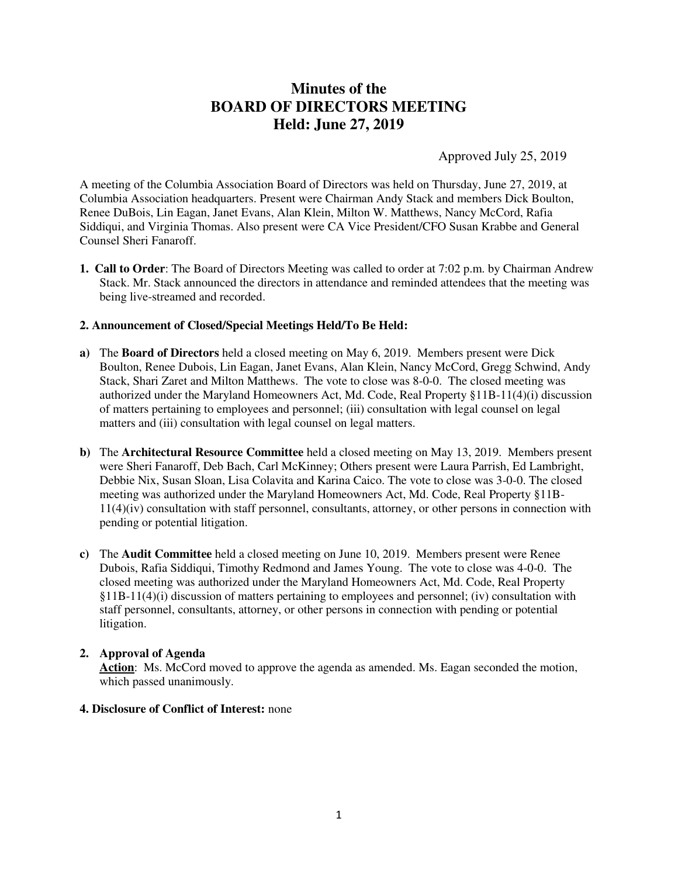# **Minutes of the BOARD OF DIRECTORS MEETING Held: June 27, 2019**

Approved July 25, 2019

A meeting of the Columbia Association Board of Directors was held on Thursday, June 27, 2019, at Columbia Association headquarters. Present were Chairman Andy Stack and members Dick Boulton, Renee DuBois, Lin Eagan, Janet Evans, Alan Klein, Milton W. Matthews, Nancy McCord, Rafia Siddiqui, and Virginia Thomas. Also present were CA Vice President/CFO Susan Krabbe and General Counsel Sheri Fanaroff.

**1. Call to Order**: The Board of Directors Meeting was called to order at 7:02 p.m. by Chairman Andrew Stack. Mr. Stack announced the directors in attendance and reminded attendees that the meeting was being live-streamed and recorded.

## **2. Announcement of Closed/Special Meetings Held/To Be Held:**

- **a)** The **Board of Directors** held a closed meeting on May 6, 2019. Members present were Dick Boulton, Renee Dubois, Lin Eagan, Janet Evans, Alan Klein, Nancy McCord, Gregg Schwind, Andy Stack, Shari Zaret and Milton Matthews. The vote to close was 8-0-0. The closed meeting was authorized under the Maryland Homeowners Act, Md. Code, Real Property §11B-11(4)(i) discussion of matters pertaining to employees and personnel; (iii) consultation with legal counsel on legal matters and (iii) consultation with legal counsel on legal matters.
- **b)** The **Architectural Resource Committee** held a closed meeting on May 13, 2019. Members present were Sheri Fanaroff, Deb Bach, Carl McKinney; Others present were Laura Parrish, Ed Lambright, Debbie Nix, Susan Sloan, Lisa Colavita and Karina Caico. The vote to close was 3-0-0. The closed meeting was authorized under the Maryland Homeowners Act, Md. Code, Real Property §11B-11(4)(iv) consultation with staff personnel, consultants, attorney, or other persons in connection with pending or potential litigation.
- **c)** The **Audit Committee** held a closed meeting on June 10, 2019. Members present were Renee Dubois, Rafia Siddiqui, Timothy Redmond and James Young. The vote to close was 4-0-0. The closed meeting was authorized under the Maryland Homeowners Act, Md. Code, Real Property §11B-11(4)(i) discussion of matters pertaining to employees and personnel; (iv) consultation with staff personnel, consultants, attorney, or other persons in connection with pending or potential litigation.

## **2. Approval of Agenda**

**Action**: Ms. McCord moved to approve the agenda as amended. Ms. Eagan seconded the motion, which passed unanimously.

## **4. Disclosure of Conflict of Interest:** none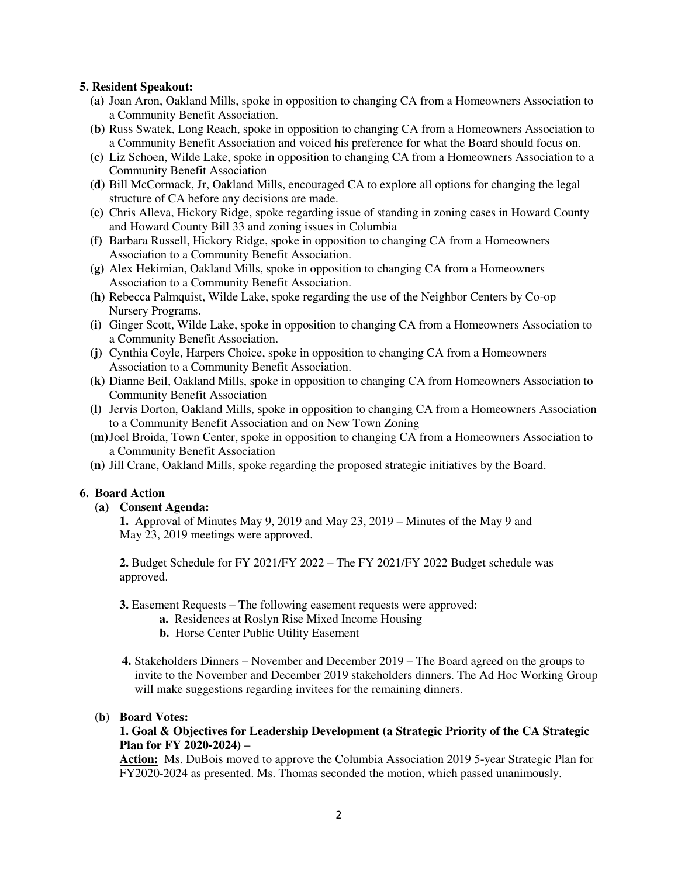## **5. Resident Speakout:**

- **(a)** Joan Aron, Oakland Mills, spoke in opposition to changing CA from a Homeowners Association to a Community Benefit Association.
- **(b)** Russ Swatek, Long Reach, spoke in opposition to changing CA from a Homeowners Association to a Community Benefit Association and voiced his preference for what the Board should focus on.
- **(c)** Liz Schoen, Wilde Lake, spoke in opposition to changing CA from a Homeowners Association to a Community Benefit Association
- **(d)** Bill McCormack, Jr, Oakland Mills, encouraged CA to explore all options for changing the legal structure of CA before any decisions are made.
- **(e)** Chris Alleva, Hickory Ridge, spoke regarding issue of standing in zoning cases in Howard County and Howard County Bill 33 and zoning issues in Columbia
- **(f)** Barbara Russell, Hickory Ridge, spoke in opposition to changing CA from a Homeowners Association to a Community Benefit Association.
- **(g)** Alex Hekimian, Oakland Mills, spoke in opposition to changing CA from a Homeowners Association to a Community Benefit Association.
- **(h)** Rebecca Palmquist, Wilde Lake, spoke regarding the use of the Neighbor Centers by Co-op Nursery Programs.
- **(i)** Ginger Scott, Wilde Lake, spoke in opposition to changing CA from a Homeowners Association to a Community Benefit Association.
- **(j)** Cynthia Coyle, Harpers Choice, spoke in opposition to changing CA from a Homeowners Association to a Community Benefit Association.
- **(k)** Dianne Beil, Oakland Mills, spoke in opposition to changing CA from Homeowners Association to Community Benefit Association
- **(l)** Jervis Dorton, Oakland Mills, spoke in opposition to changing CA from a Homeowners Association to a Community Benefit Association and on New Town Zoning
- **(m)** Joel Broida, Town Center, spoke in opposition to changing CA from a Homeowners Association to a Community Benefit Association
- **(n)** Jill Crane, Oakland Mills, spoke regarding the proposed strategic initiatives by the Board.

## **6. Board Action**

 **(a) Consent Agenda:**

 **1.** Approval of Minutes May 9, 2019 and May 23, 2019 – Minutes of the May 9 and May 23, 2019 meetings were approved.

 **2.** Budget Schedule for FY 2021/FY 2022 – The FY 2021/FY 2022 Budget schedule was approved.

**3.** Easement Requests – The following easement requests were approved:

- **a.** Residences at Roslyn Rise Mixed Income Housing
- **b.** Horse Center Public Utility Easement
- **4.** Stakeholders Dinners November and December 2019 The Board agreed on the groups to invite to the November and December 2019 stakeholders dinners. The Ad Hoc Working Group will make suggestions regarding invitees for the remaining dinners.

#### **(b) Board Votes:**

## **1. Goal & Objectives for Leadership Development (a Strategic Priority of the CA Strategic Plan for FY 2020-2024) –**

**Action:** Ms. DuBois moved to approve the Columbia Association 2019 5-year Strategic Plan for FY2020-2024 as presented. Ms. Thomas seconded the motion, which passed unanimously.